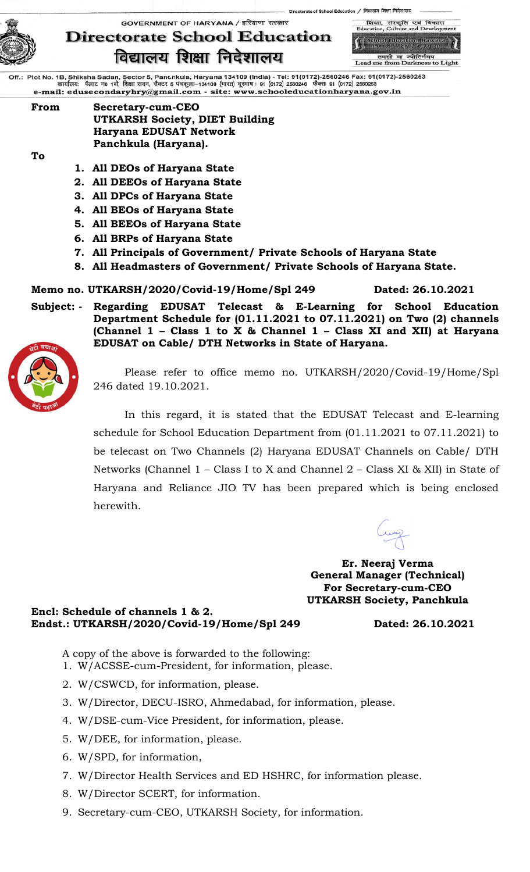



:torate of School Education / विद्यालय शिक्षा निदेशालय्

Lead me from Darkness to Light

Off.: Plot No. 1B, Shiksha Sadan, Sector 5, Panchkula, Haryana 134109 (India) - Tel: 91(0172)-2560246 Fax: 91(0172)-2560253<br>कार्यालयः पॅलाट न0 1बी, शिक्षा सदन, सैक्टर 5 पंष्कुला–134109 (मारत) दूरमाष : 91 (0172) 2560246 फै e-mail: edusecondaryhry@gmail.com - site: www.schooleducationharyana.gov.in

#### **From Secretary-cum-CEO UTKARSH Society, DIET Building Haryana EDUSAT Network Panchkula (Haryana).**

**To**

- **1. All DEOs of Haryana State**
- **2. All DEEOs of Haryana State**
- **3. All DPCs of Haryana State**
- **4. All BEOs of Haryana State**
- **5. All BEEOs of Haryana State**
- **6. All BRPs of Haryana State**
- **7. All Principals of Government/ Private Schools of Haryana State**
- **8. All Headmasters of Government/ Private Schools of Haryana State.**

### **Memo no. UTKARSH/2020/Covid-19/Home/Spl 249 Dated: 26.10.2021**

**Subject: - Regarding EDUSAT Telecast & E-Learning for School Education Department Schedule for (01.11.2021 to 07.11.2021) on Two (2) channels (Channel 1 – Class 1 to X & Channel 1 – Class XI and XII) at Haryana EDUSAT on Cable/ DTH Networks in State of Haryana.** 



Please refer to office memo no. UTKARSH/2020/Covid-19/Home/Spl 246 dated 19.10.2021.

In this regard, it is stated that the EDUSAT Telecast and E-learning schedule for School Education Department from (01.11.2021 to 07.11.2021) to be telecast on Two Channels (2) Haryana EDUSAT Channels on Cable/ DTH Networks (Channel 1 – Class I to X and Channel 2 – Class XI & XII) in State of Haryana and Reliance JIO TV has been prepared which is being enclosed herewith.

**Er. Neeraj Verma General Manager (Technical) For Secretary-cum-CEO UTKARSH Society, Panchkula**

**Encl: Schedule of channels 1 & 2. Endst.: UTKARSH/2020/Covid-19/Home/Spl 249 Dated: 26.10.2021**

- A copy of the above is forwarded to the following:
- 1. W/ACSSE-cum-President, for information, please.
- 2. W/CSWCD, for information, please.
- 3. W/Director, DECU-ISRO, Ahmedabad, for information, please.
- 4. W/DSE-cum-Vice President, for information, please.
- 5. W/DEE, for information, please.
- 6. W/SPD, for information,
- 7. W/Director Health Services and ED HSHRC, for information please.
- 8. W/Director SCERT, for information.
- 9. Secretary-cum-CEO, UTKARSH Society, for information.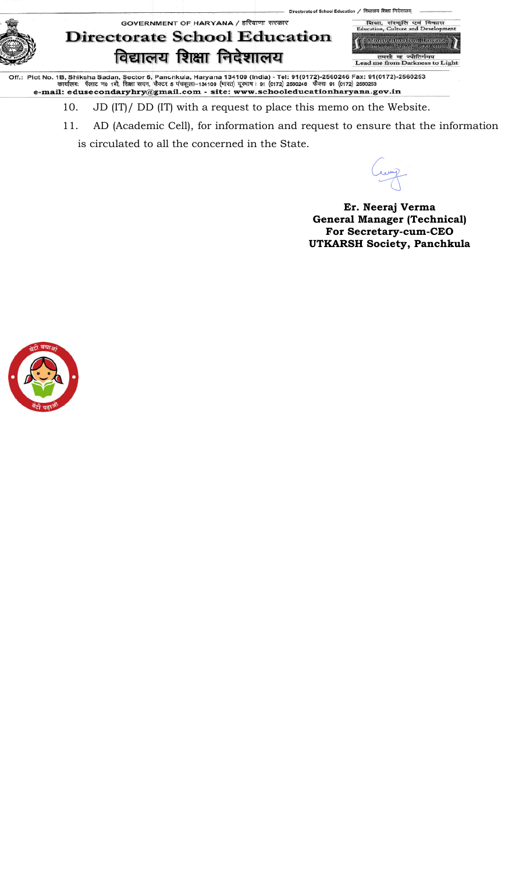शिक्षा,<br>ucation, GOVERNMENT OF HARYANA / हरियाणा सरकार विद  $FA$  $C_{\rm ulv}$ **Directorate School Education** -<br>Saluel Education, Hawan<br>- विसानय सिरोह संवेदगणा विद्यालय शिक्षा निदेशालय तमसो मा ज्योतिर्गमय<br>Lead me from Darkness to Light

Off.: Plot No. 1B, Shiksha Sadan, Sector 5, Panchkula, Haryana 134109 (India) - Tel: 91(0172)-2560246 Fax: 91(0172)-2560253<br>कार्यालयः पॅलाट न0 1बी, शिक्षा सदन, सैक्टर 5 पंचकुला–134109 (मारत) दूरमाष : 91 (0172) 2560246 फैक

- 10. JD (IT)/ DD (IT) with a request to place this memo on the Website.
- 11. AD (Academic Cell), for information and request to ensure that the information is circulated to all the concerned in the State.

torate of School Education / विद्यालय शिक्षा निदेशार

**Er. Neeraj Verma General Manager (Technical) For Secretary-cum-CEO UTKARSH Society, Panchkula**

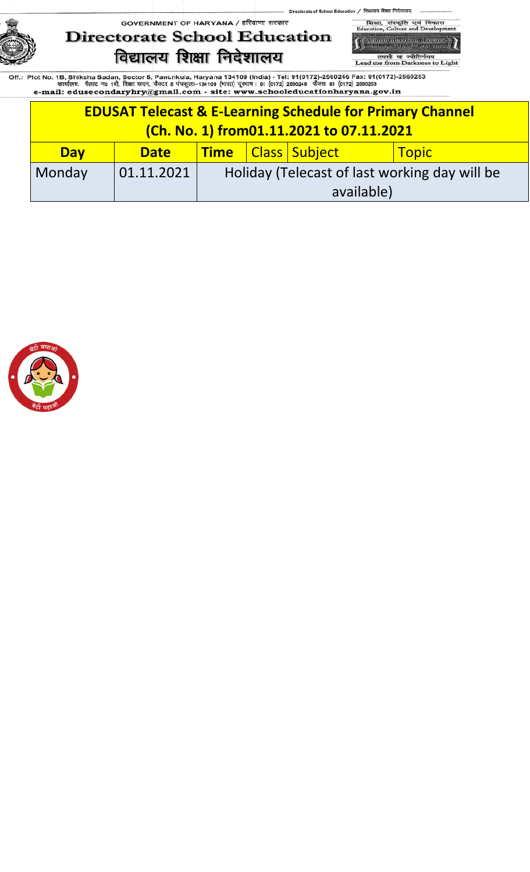

शिका, संस्कृति एवं<br>Education, Culture and D विव -<br>School Education, Hawan<br>- Fransa Bush, Sixanup

ol Education / विद्यालय शिक्षा निदेशालय्

तमसो मा ज्योतिर्गमय<br>Lead me from Darkness to Light

|            | <b>EDUSAT Telecast &amp; E-Learning Schedule for Primary Channel</b><br>(Ch. No. 1) from01.11.2021 to 07.11.2021 |                                                             |  |  |  |  |  |  |
|------------|------------------------------------------------------------------------------------------------------------------|-------------------------------------------------------------|--|--|--|--|--|--|
| <b>Day</b> | <b>Date</b>                                                                                                      | Time   Class   Subject<br>  Topic                           |  |  |  |  |  |  |
| Monday     | 01.11.2021                                                                                                       | Holiday (Telecast of last working day will be<br>available) |  |  |  |  |  |  |

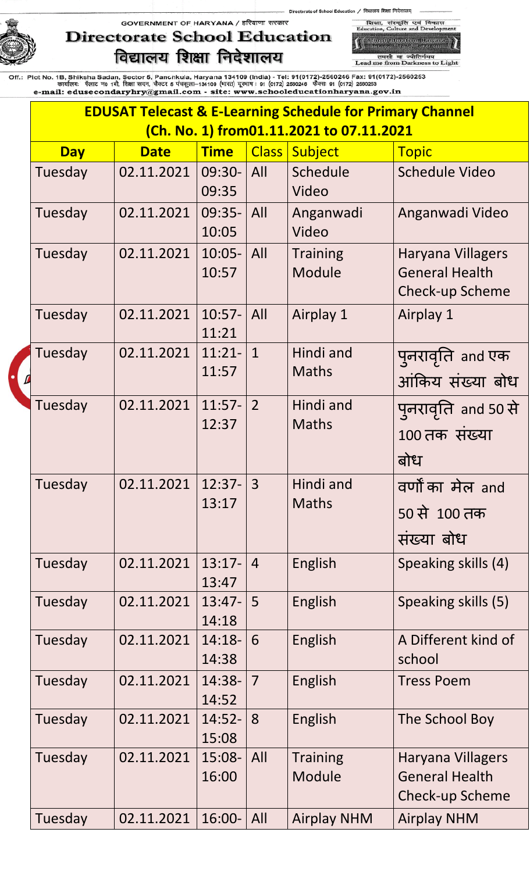

शिका, संस्कृति एवं<br>Education, Culture and D विकास -<br>School Education, Hawane<br>- नियातय शिक्षा, फ्रियाण

of School Education / विद्यालय शिक्षा निदेशालय्

तमसो मा ज्योतिर्गमय<br>Lead me from Darkness to Light

|            |             |                    | <b>EDUSAT Telecast &amp; E-Learning Schedule for Primary Channel</b> |                                          |                                                                      |  |  |
|------------|-------------|--------------------|----------------------------------------------------------------------|------------------------------------------|----------------------------------------------------------------------|--|--|
|            |             |                    |                                                                      | (Ch. No. 1) from01.11.2021 to 07.11.2021 |                                                                      |  |  |
| <b>Day</b> | <b>Date</b> | <b>Time</b>        | <b>Class</b>                                                         | Subject                                  | <b>Topic</b>                                                         |  |  |
| Tuesday    | 02.11.2021  | 09:30-<br>09:35    | All                                                                  | Schedule<br>Video                        | <b>Schedule Video</b>                                                |  |  |
| Tuesday    | 02.11.2021  | 09:35-<br>10:05    | All                                                                  | Anganwadi<br>Video                       | Anganwadi Video                                                      |  |  |
| Tuesday    | 02.11.2021  | $10:05-$<br>10:57  | All                                                                  | <b>Training</b><br>Module                | Haryana Villagers<br><b>General Health</b><br><b>Check-up Scheme</b> |  |  |
| Tuesday    | 02.11.2021  | $10:57-$<br>11:21  | All                                                                  | Airplay 1                                | Airplay 1                                                            |  |  |
| Tuesday    | 02.11.2021  | $11:21-$<br>11:57  | $\mathbf{1}$                                                         | Hindi and<br><b>Maths</b>                | पुनरावृति and एक<br>आंकिय संख्या बोध                                 |  |  |
| Tuesday    | 02.11.2021  | $11:57-$<br>12:37  | $\overline{2}$                                                       | Hindi and<br><b>Maths</b>                | पुनरावृति and 50 से<br>100 तक संख्या<br>बोध                          |  |  |
| Tuesday    | 02.11.2021  | $12:37-3$<br>13:17 |                                                                      | Hindi and<br><b>Maths</b>                | वर्णों का मेल and<br>50 से 100 तक<br>संख्या बोध                      |  |  |
| Tuesday    | 02.11.2021  | $13:17-$<br>13:47  | $\overline{4}$                                                       | English                                  | Speaking skills (4)                                                  |  |  |
| Tuesday    | 02.11.2021  | $13:47-$<br>14:18  | 5                                                                    | English                                  | Speaking skills (5)                                                  |  |  |
| Tuesday    | 02.11.2021  | $14:18-$<br>14:38  | 6                                                                    | English                                  | A Different kind of<br>school                                        |  |  |
| Tuesday    | 02.11.2021  | 14:38-<br>14:52    | $\overline{7}$                                                       | English                                  | <b>Tress Poem</b>                                                    |  |  |
| Tuesday    | 02.11.2021  | $14:52-$<br>15:08  | 8                                                                    | English                                  | The School Boy                                                       |  |  |
| Tuesday    | 02.11.2021  | 15:08-<br>16:00    | All                                                                  | <b>Training</b><br>Module                | Haryana Villagers<br><b>General Health</b><br>Check-up Scheme        |  |  |
| Tuesday    | 02.11.2021  | $16:00 -$          | All                                                                  | <b>Airplay NHM</b>                       | <b>Airplay NHM</b>                                                   |  |  |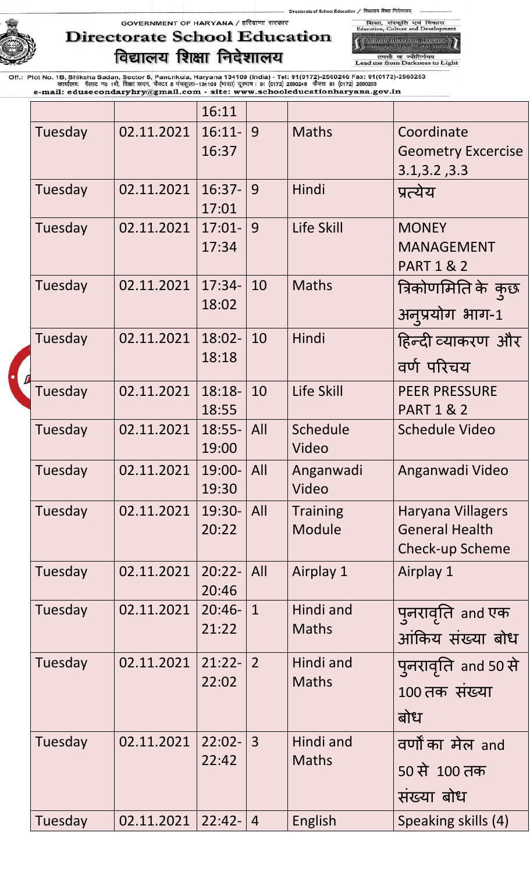GOVERNMENT OF HARYANA / हरियाणा सरकार



# **Directorate School Education** विद्यालय शिक्षा निदेशालय

**All School Education**, Harvens<br>Intellect Lent Larcenty तमसो मा ज्योतिर्गमय<br>Lead me from Darkness to Light

शिका, संस्कृति एवं विकास<br>Education, Culture and Developr

|         |            | 16:11              |                |                           |                                                                             |
|---------|------------|--------------------|----------------|---------------------------|-----------------------------------------------------------------------------|
| Tuesday | 02.11.2021 | $16:11-$<br>16:37  | 9              | <b>Maths</b>              | Coordinate<br><b>Geometry Excercise</b><br>3.1, 3.2, 3.3                    |
| Tuesday | 02.11.2021 | $16:37-$<br>17:01  | 9              | Hindi                     | प्रत्येय                                                                    |
| Tuesday | 02.11.2021 | $17:01 -$<br>17:34 | 9              | Life Skill                | <b>MONEY</b><br><b>MANAGEMENT</b><br><b>PART 1 &amp; 2</b>                  |
| Tuesday | 02.11.2021 | $17:34-$<br>18:02  | 10             | <b>Maths</b>              | त्रिकोणमिति के कुछ<br>अनुप्रयोग भाग-1                                       |
| Tuesday | 02.11.2021 | 18:02-<br>18:18    | 10             | Hindi                     | हिन्दी व्याकरण और<br>वर्ण परिचय                                             |
| Tuesday | 02.11.2021 | $18:18-$<br>18:55  | 10             | Life Skill                | <b>PEER PRESSURE</b><br><b>PART 1 &amp; 2</b>                               |
| Tuesday | 02.11.2021 | $18:55-$<br>19:00  | All            | Schedule<br>Video         | <b>Schedule Video</b>                                                       |
| Tuesday | 02.11.2021 | 19:00-<br>19:30    | All            | Anganwadi<br>Video        | Anganwadi Video                                                             |
| Tuesday | 02.11.2021 | 19:30-<br>20:22    | All            | <b>Training</b><br>Module | <b>Haryana Villagers</b><br><b>General Health</b><br><b>Check-up Scheme</b> |
| Tuesday | 02.11.2021 | $20:22 -$<br>20:46 | All            | Airplay 1                 | Airplay 1                                                                   |
| Tuesday | 02.11.2021 | $20:46-$<br>21:22  | $\mathbf{1}$   | Hindi and<br><b>Maths</b> | पुनरावृति and एक<br>आंकिय संख्या बोध                                        |
| Tuesday | 02.11.2021 | $21:22-$<br>22:02  | $\overline{2}$ | Hindi and<br><b>Maths</b> | पुनरावृति and 50 से<br>100 तक संख्या<br>बोध                                 |
| Tuesday | 02.11.2021 | $22:02 -$<br>22:42 | $\overline{3}$ | Hindi and<br><b>Maths</b> | वर्णों का मेल and<br>50 से 100 तक<br>संख्या बोध                             |
| Tuesday | 02.11.2021 | $22:42-$           | $\overline{4}$ | English                   | Speaking skills (4)                                                         |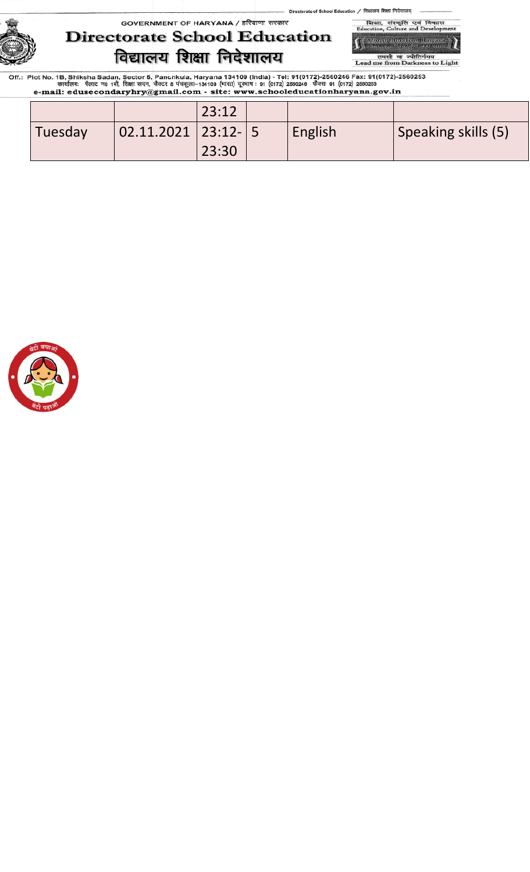GOVERNMENT OF HARYANA / हरियाणा सरकार



# **Directorate School Education** विद्यालय शिक्षा निदेशालय

,<br>School Education, Harvare<br>Transa Part, Scharve तमसो मा ज्योतिर्गमय<br>Lead me from Darkness to Light

विकास

शिक्षा, संस्कृति एवं<br>Education, Culture and D

|         |                       | 23:12 |         |                            |
|---------|-----------------------|-------|---------|----------------------------|
| Tuesday | $ 02.11.2021 23:12-5$ |       | English | <b>Speaking skills (5)</b> |
|         |                       | 23:30 |         |                            |

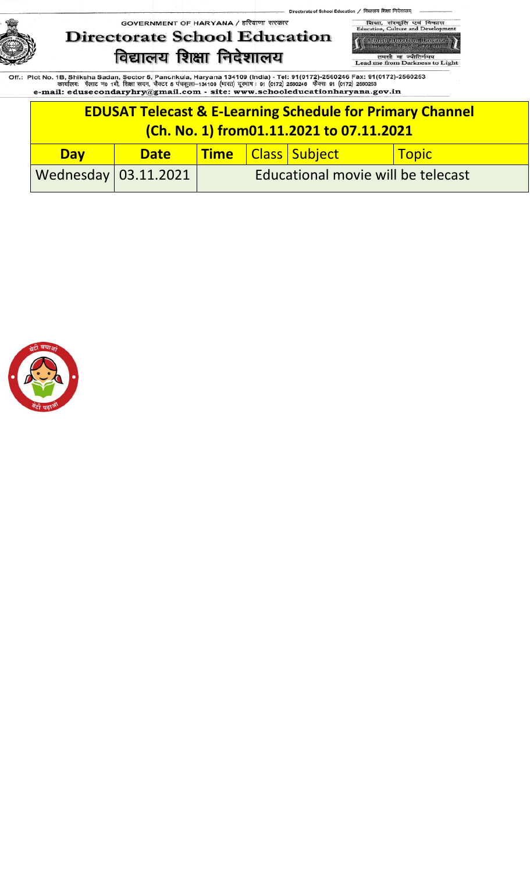

शिका, संस्कृति एवं<br>Education, Culture and I विद  $\lambda$  T -<br>School Education, Hawan<br>- Fransa Bush, Sixanup

/ विद्यालय शिक्षा निदेशालय

ol Educ

तमसो मा ज्योतिर्गमय<br>Lead me from Darkness to Light

| <b>EDUSAT Telecast &amp; E-Learning Schedule for Primary Channel</b><br>(Ch. No. 1) from01.11.2021 to 07.11.2021 |             |                                    |  |                        |       |  |  |
|------------------------------------------------------------------------------------------------------------------|-------------|------------------------------------|--|------------------------|-------|--|--|
| <b>Day</b>                                                                                                       | <b>Date</b> |                                    |  | Time   Class   Subject | Topic |  |  |
| Wednesday $03.11.2021$                                                                                           |             | Educational movie will be telecast |  |                        |       |  |  |

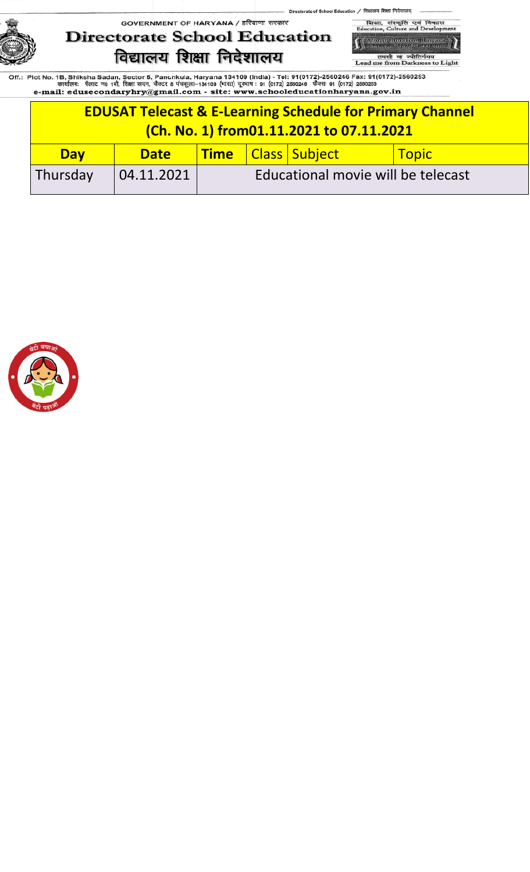ol Education



शिका, संस्कृति एवं<br>Education, Culture and D विद ,<br>School Education, Hawan<br>Literary Busit Sixerup

/ विद्यालय शिक्षा निदेशालय

तमसो मा ज्योतिर्गमय<br>Lead me from Darkness to Light

| <b>EDUSAT Telecast &amp; E-Learning Schedule for Primary Channel</b><br>(Ch. No. 1) from01.11.2021 to 07.11.2021 |             |                                    |  |                        |              |  |
|------------------------------------------------------------------------------------------------------------------|-------------|------------------------------------|--|------------------------|--------------|--|
| <b>Day</b>                                                                                                       | <b>Date</b> |                                    |  | Time   Class   Subject | <b>Topic</b> |  |
| Thursday                                                                                                         | 04.11.2021  | Educational movie will be telecast |  |                        |              |  |

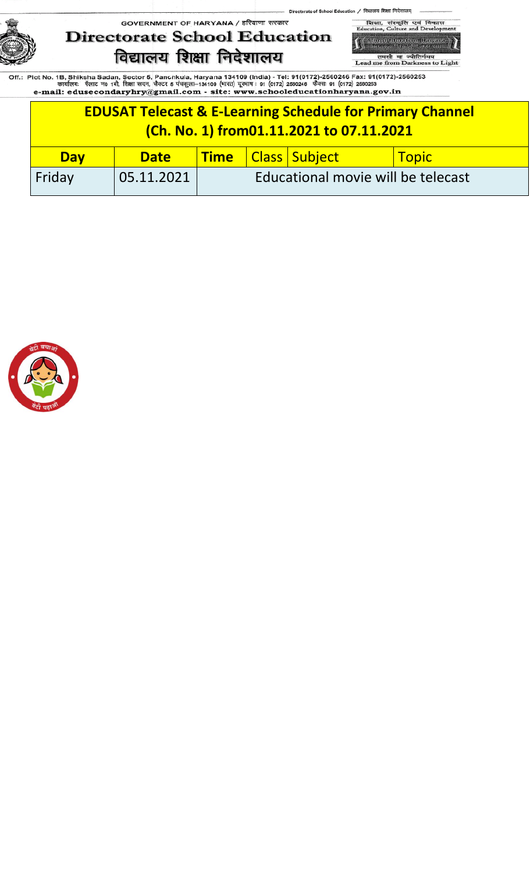of Sch





तमसो मा ज्योतिर्गमय<br>Lead me from Darkness to Light

| <b>EDUSAT Telecast &amp; E-Learning Schedule for Primary Channel</b><br>(Ch. No. 1) from01.11.2021 to 07.11.2021 |             |                                    |  |                        |              |  |
|------------------------------------------------------------------------------------------------------------------|-------------|------------------------------------|--|------------------------|--------------|--|
| <b>Day</b>                                                                                                       | <b>Date</b> |                                    |  | Time   Class   Subject | <b>Topic</b> |  |
| Friday                                                                                                           | 05.11.2021  | Educational movie will be telecast |  |                        |              |  |

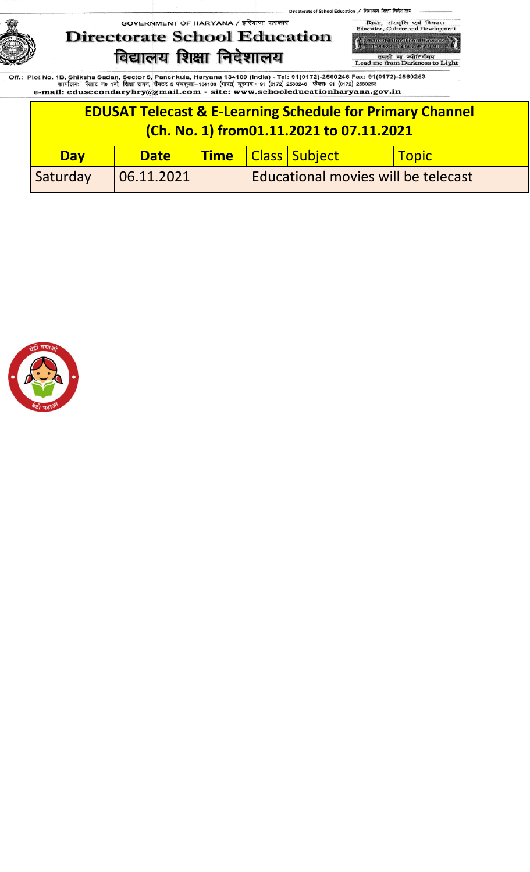# GOVERNMENT OF HARYANA / हरियाणा सरकार **Directorate School Education** विद्यालय शिक्षा निदेशालय



तमसो मा ज्योतिर्गमय<br>Lead me from Darkness to Light

| <b>EDUSAT Telecast &amp; E-Learning Schedule for Primary Channel</b><br>(Ch. No. 1) from01.11.2021 to 07.11.2021 |             |  |  |                        |                      |  |
|------------------------------------------------------------------------------------------------------------------|-------------|--|--|------------------------|----------------------|--|
| <b>Day</b>                                                                                                       | <b>Date</b> |  |  | Time   Class   Subject | <mark>  Topic</mark> |  |
| Educational movies will be telecast<br>Saturday<br> 06.11.2021                                                   |             |  |  |                        |                      |  |

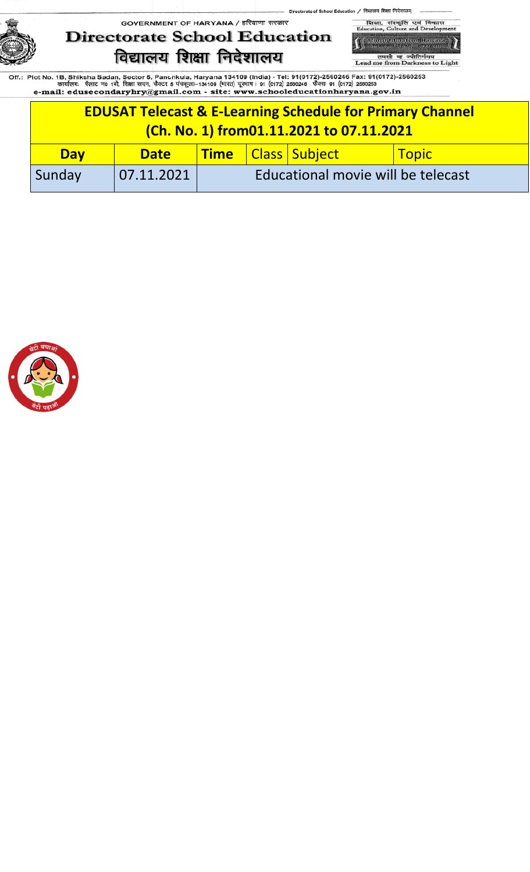ol Educ





/ विद्यालय शिक्षा निदेशालय

तमसो मा ज्योतिर्गमय<br>Lead me from Darkness to Light

|            | <b>EDUSAT Telecast &amp; E-Learning Schedule for Primary Channel</b><br>(Ch. No. 1) from01.11.2021 to 07.11.2021 |                                    |  |                               |                 |  |
|------------|------------------------------------------------------------------------------------------------------------------|------------------------------------|--|-------------------------------|-----------------|--|
| <b>Day</b> | <b>Date</b>                                                                                                      |                                    |  | <b>Time</b>   Class   Subject | <u>  Topic_</u> |  |
| Sunday     | 07.11.2021                                                                                                       | Educational movie will be telecast |  |                               |                 |  |

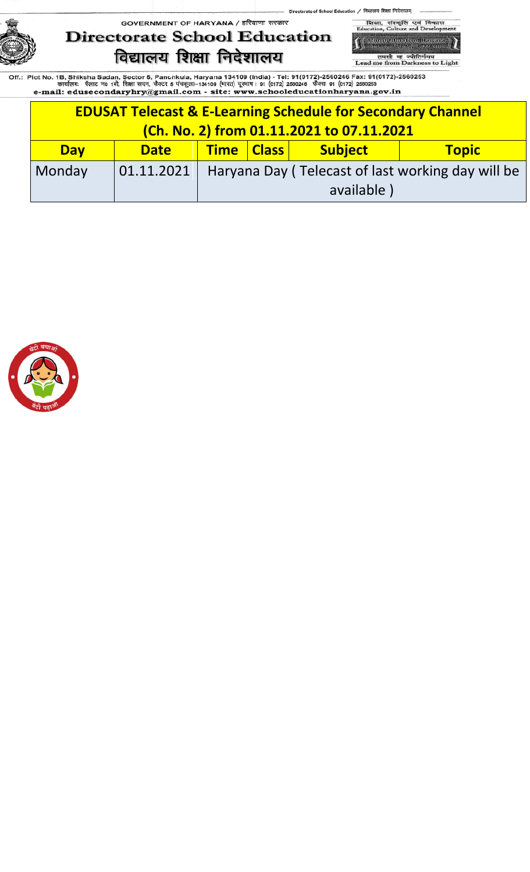ol Education / विद्यालय शिक्षा निदेशालय् of Sch

# GOVERNMENT OF HARYANA / हरियाणा सरकार **Directorate School Education** विद्यालय शिक्षा निदेशालय



तमसो मा ज्योतिर्गमय<br>Lead me from Darkness to Light

|            | <b>EDUSAT Telecast &amp; E-Learning Schedule for Secondary Channel</b><br>(Ch. No. 2) from 01.11.2021 to 07.11.2021 |  |                                                                |            |  |  |  |  |
|------------|---------------------------------------------------------------------------------------------------------------------|--|----------------------------------------------------------------|------------|--|--|--|--|
| <b>Day</b> | <b>Time   Class    </b><br><b>Subject</b><br><b>Topic</b><br><b>Date</b>                                            |  |                                                                |            |  |  |  |  |
| Monday     |                                                                                                                     |  | 01.11.2021   Haryana Day (Telecast of last working day will be |            |  |  |  |  |
|            |                                                                                                                     |  |                                                                | available) |  |  |  |  |

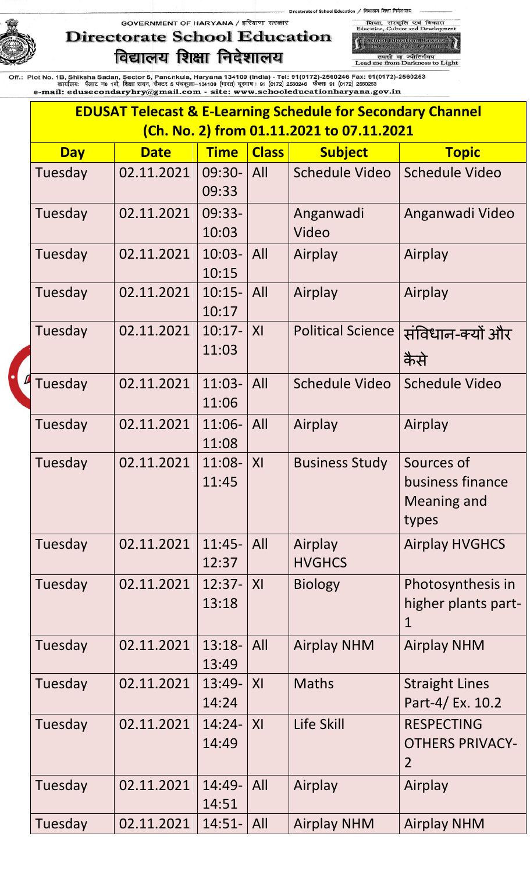# **Directorate School Education** विद्यालय शिक्षा निदेशालय

शिका, संस्कृति एवं<br>Education, Culture and I -<br>Saluat Education, Hawan<br>- Traiser Part Forterup

विव  $\lambda$  T

ol Education / विद्यालय शिक्षा निदेशालय्

of Sch

तमसो मा ज्योतिर्गमय<br>Lead me from Darkness to Light

|            |             | <b>EDUSAT Telecast &amp; E-Learning Schedule for Secondary Channel</b> |                           |                                           |                                                               |  |  |
|------------|-------------|------------------------------------------------------------------------|---------------------------|-------------------------------------------|---------------------------------------------------------------|--|--|
|            |             |                                                                        |                           | (Ch. No. 2) from 01.11.2021 to 07.11.2021 |                                                               |  |  |
| <b>Day</b> | <b>Date</b> | <b>Time</b>                                                            | <b>Class</b>              | <b>Subject</b>                            | <b>Topic</b>                                                  |  |  |
| Tuesday    | 02.11.2021  | 09:30-<br>09:33                                                        | All                       | Schedule Video                            | <b>Schedule Video</b>                                         |  |  |
| Tuesday    | 02.11.2021  | 09:33-<br>10:03                                                        |                           | Anganwadi<br>Video                        | Anganwadi Video                                               |  |  |
| Tuesday    | 02.11.2021  | $10:03-$<br>10:15                                                      | A                         | Airplay                                   | Airplay                                                       |  |  |
| Tuesday    | 02.11.2021  | $10:15-$<br>10:17                                                      | $\overline{\mathsf{All}}$ | Airplay                                   | Airplay                                                       |  |  |
| Tuesday    | 02.11.2021  | $10:17-$<br>11:03                                                      | XI                        | <b>Political Science</b>                  | संविधान-क्यों और<br>कैसे                                      |  |  |
| Tuesday    | 02.11.2021  | $11:03-$<br>11:06                                                      | All                       | <b>Schedule Video</b>                     | <b>Schedule Video</b>                                         |  |  |
| Tuesday    | 02.11.2021  | $11:06-$<br>11:08                                                      | $\overline{\mathsf{All}}$ | Airplay                                   | Airplay                                                       |  |  |
| Tuesday    | 02.11.2021  | 11:08-<br>11:45                                                        | XI                        | <b>Business Study</b>                     | Sources of<br>business finance<br><b>Meaning and</b><br>types |  |  |
| Tuesday    | 02.11.2021  | $11:45-$<br>12:37                                                      | A                         | Airplay<br><b>HVGHCS</b>                  | <b>Airplay HVGHCS</b>                                         |  |  |
| Tuesday    | 02.11.2021  | $12:37-$<br>13:18                                                      | X                         | <b>Biology</b>                            | Photosynthesis in<br>higher plants part-<br>1                 |  |  |
| Tuesday    | 02.11.2021  | $13:18-$<br>13:49                                                      | $\overline{A}$            | <b>Airplay NHM</b>                        | <b>Airplay NHM</b>                                            |  |  |
| Tuesday    | 02.11.2021  | 13:49-<br>14:24                                                        | XI                        | <b>Maths</b>                              | <b>Straight Lines</b><br>Part-4/ Ex. 10.2                     |  |  |
| Tuesday    | 02.11.2021  | $14:24-$<br>14:49                                                      | X                         | Life Skill                                | <b>RESPECTING</b><br><b>OTHERS PRIVACY-</b><br>2              |  |  |
| Tuesday    | 02.11.2021  | $14:49-$<br>14:51                                                      | All                       | Airplay                                   | Airplay                                                       |  |  |
| Tuesday    | 02.11.2021  | $14:51 -   All$                                                        |                           | <b>Airplay NHM</b>                        | <b>Airplay NHM</b>                                            |  |  |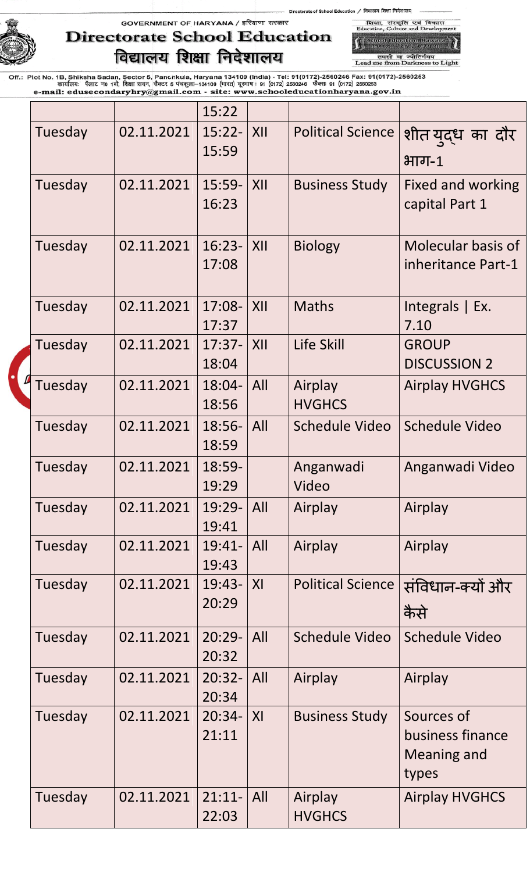# GOVERNMENT OF HARYANA / हरियाणा सरकार **Directorate School Education** विद्यालय शिक्षा निदेशालय

,<br>School Education, Hawane<br>, Trenser Pust, Greenig तमसो मा ज्योतिर्गमय<br>Lead me from Darkness to Light

शिका, संस्कृति एवं विकास<br>Education, Culture and Developr

|         |            | 15:22           |                |                          |                          |
|---------|------------|-----------------|----------------|--------------------------|--------------------------|
| Tuesday | 02.11.2021 | $15:22-$        | XII            | <b>Political Science</b> | शीत युद्ध का दौर         |
|         |            | 15:59           |                |                          | $H$ गन-1                 |
| Tuesday | 02.11.2021 | $15:59-$        | XII            | <b>Business Study</b>    | <b>Fixed and working</b> |
|         |            | 16:23           |                |                          | capital Part 1           |
| Tuesday | 02.11.2021 | $16:23-$        | XII            | <b>Biology</b>           | Molecular basis of       |
|         |            | 17:08           |                |                          | inheritance Part-1       |
| Tuesday | 02.11.2021 | 17:08-          | XII            | <b>Maths</b>             | Integrals $ Ex.$         |
|         |            | 17:37           |                |                          | 7.10                     |
| Tuesday | 02.11.2021 | $17:37-$        | XII            | Life Skill               | <b>GROUP</b>             |
|         |            | 18:04           |                |                          | <b>DISCUSSION 2</b>      |
| Tuesday | 02.11.2021 | 18:04-          | All            | Airplay                  | <b>Airplay HVGHCS</b>    |
|         |            | 18:56           |                | <b>HVGHCS</b>            |                          |
| Tuesday | 02.11.2021 | 18:56-          | All            | <b>Schedule Video</b>    | <b>Schedule Video</b>    |
|         |            | 18:59           |                |                          |                          |
| Tuesday | 02.11.2021 | 18:59-<br>19:29 |                | Anganwadi<br>Video       | Anganwadi Video          |
| Tuesday | 02.11.2021 | 19:29-          | All            | Airplay                  |                          |
|         |            | 19:41           |                |                          | Airplay                  |
| Tuesday | 02.11.2021 | 19:41-          | All            | Airplay                  | Airplay                  |
|         |            | 19:43           |                |                          |                          |
| Tuesday | 02.11.2021 | 19:43-          | XI             | <b>Political Science</b> | संविधान-क्यों और         |
|         |            | 20:29           |                |                          | कैसे                     |
| Tuesday | 02.11.2021 | $20:29-$        | All            | <b>Schedule Video</b>    | <b>Schedule Video</b>    |
|         |            | 20:32           |                |                          |                          |
| Tuesday | 02.11.2021 | $20:32-$        | All            | Airplay                  | Airplay                  |
|         |            | 20:34           |                |                          |                          |
| Tuesday | 02.11.2021 | $20:34-$        | X <sub>l</sub> | <b>Business Study</b>    | Sources of               |
|         |            | 21:11           |                |                          | business finance         |
|         |            |                 |                |                          | Meaning and              |
|         |            |                 |                |                          | types                    |
| Tuesday | 02.11.2021 | $21:11-$        | All            | Airplay                  | <b>Airplay HVGHCS</b>    |
|         |            | 22:03           |                | <b>HVGHCS</b>            |                          |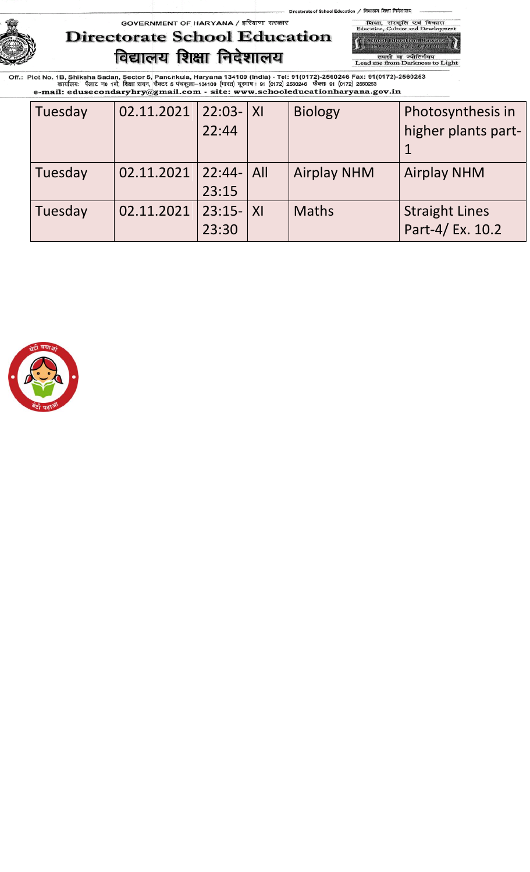### GOVERNMENT OF HARYANA / हरियाणा सरकार **Directorate School Education** विद्यालय शिक्षा निदेशालय

,<br>School Education, Harvare<br>Transa Part, Scharve तमसो मा ज्योतिर्गमय<br>Lead me from Darkness to Light

विकास

शिक्षा, संस्कृति एवं<br>Education, Culture and D

| Tuesday | 02.11.2021 | $22:03 -  X $ | <b>Biology</b>     | Photosynthesis in     |
|---------|------------|---------------|--------------------|-----------------------|
|         |            | 22:44         |                    | higher plants part-   |
|         |            |               |                    |                       |
| Tuesday | 02.11.2021 | $ 22:44- All$ | <b>Airplay NHM</b> | <b>Airplay NHM</b>    |
|         |            | 23:15         |                    |                       |
| Tuesday | 02.11.2021 | $23:15 -  X $ | <b>Maths</b>       | <b>Straight Lines</b> |
|         |            | 23:30         |                    | Part-4/ Ex. 10.2      |

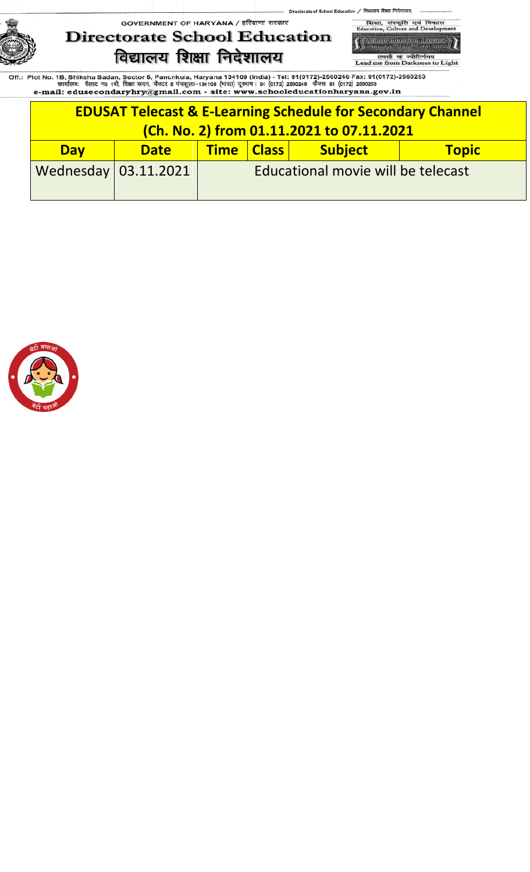# GOVERNMENT OF HARYANA / हरियाणा सरकार **Directorate School Education** विद्यालय शिक्षा निदेशालय



तमसो मा ज्योतिर्गमय<br>Lead me from Darkness to Light

| <b>EDUSAT Telecast &amp; E-Learning Schedule for Secondary Channel</b> |                              |                                                         |  |  |  |  |  |
|------------------------------------------------------------------------|------------------------------|---------------------------------------------------------|--|--|--|--|--|
| (Ch. No. 2) from 01.11.2021 to 07.11.2021                              |                              |                                                         |  |  |  |  |  |
| <b>Day</b>                                                             | <b>Date</b>                  | <b>Subject</b><br><b>Time   Class  </b><br><b>Topic</b> |  |  |  |  |  |
|                                                                        | Wednesday $\vert$ 03.11.2021 | Educational movie will be telecast                      |  |  |  |  |  |

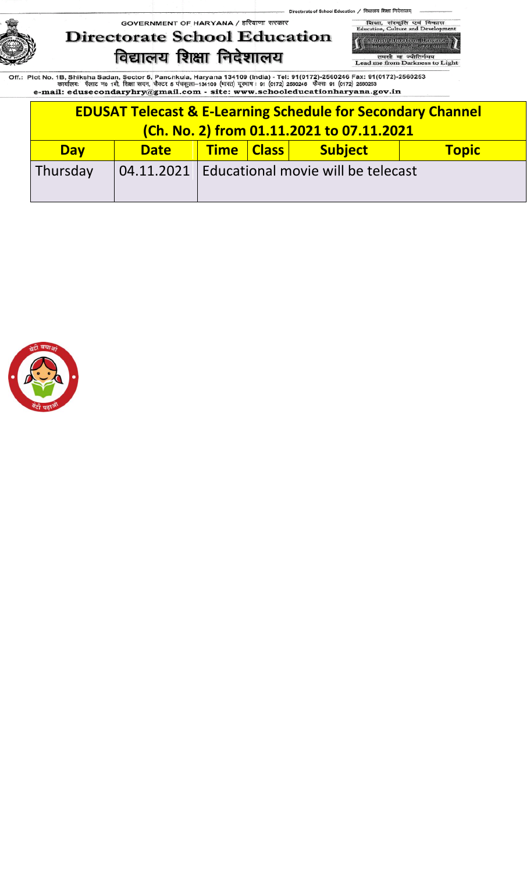ol Education / विद्यालय शिक्षा निदेशालय् of Sch

# GOVERNMENT OF HARYANA / हरियाणा सरकार **Directorate School Education** विद्यालय शिक्षा निदेशालय

शिका, संस्कृति एवं<br>Education, Culture and D विव ,<br>School Education, Hawan<br>Literary Busit Sixerup

तमसो मा ज्योतिर्गमय<br>Lead me from Darkness to Light

| <b>EDUSAT Telecast &amp; E-Learning Schedule for Secondary Channel</b><br>(Ch. No. 2) from 01.11.2021 to 07.11.2021 |                                                                   |                                                         |  |  |  |  |  |
|---------------------------------------------------------------------------------------------------------------------|-------------------------------------------------------------------|---------------------------------------------------------|--|--|--|--|--|
| <b>Day</b>                                                                                                          | Time   Class   1<br><b>Subject</b><br><b>Topic</b><br><b>Date</b> |                                                         |  |  |  |  |  |
| Thursday                                                                                                            |                                                                   | $\vert$ 04.11.2021   Educational movie will be telecast |  |  |  |  |  |

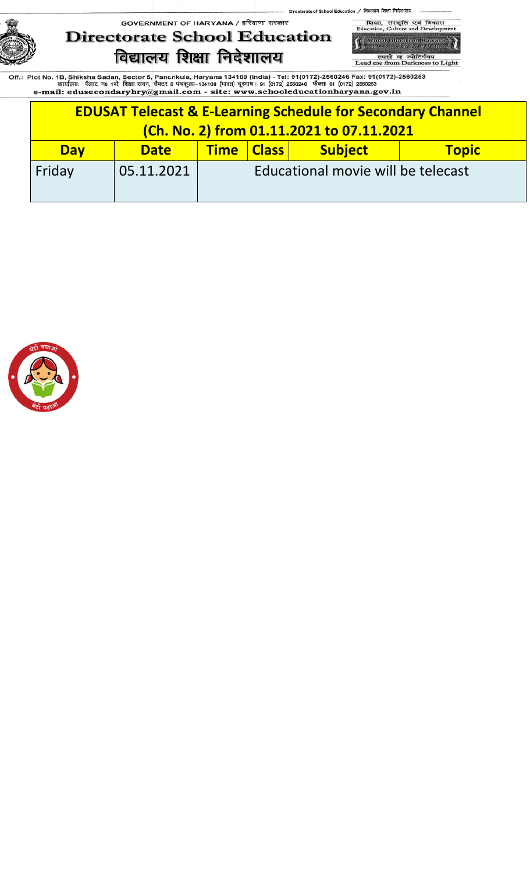# GOVERNMENT OF HARYANA / हरियाणा सरकार **Directorate School Education** विद्यालय शिक्षा निदेशालय



तमसो मा ज्योतिर्गमय<br>Lead me from Darkness to Light

| <b>EDUSAT Telecast &amp; E-Learning Schedule for Secondary Channel</b> |             |                                                         |  |  |  |  |  |  |
|------------------------------------------------------------------------|-------------|---------------------------------------------------------|--|--|--|--|--|--|
| (Ch. No. 2) from 01.11.2021 to 07.11.2021                              |             |                                                         |  |  |  |  |  |  |
| <b>Day</b>                                                             | <b>Date</b> | <b>Subject</b><br><b>Time   Class  </b><br><b>Topic</b> |  |  |  |  |  |  |
| Friday                                                                 | 05.11.2021  | Educational movie will be telecast                      |  |  |  |  |  |  |

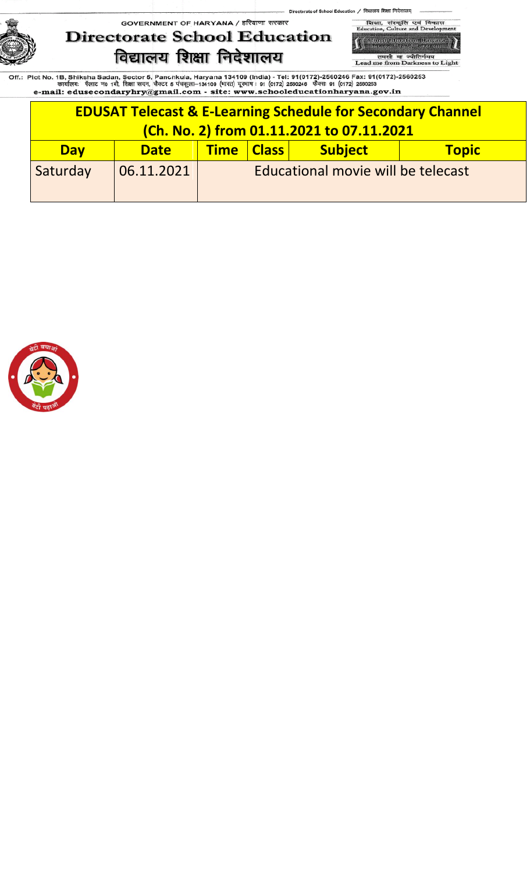# GOVERNMENT OF HARYANA / हरियाणा सरकार **Directorate School Education** विद्यालय शिक्षा निदेशालय



तमसो मा ज्योतिर्गमय<br>Lead me from Darkness to Light

| <b>EDUSAT Telecast &amp; E-Learning Schedule for Secondary Channel</b> |             |                                              |  |  |  |  |  |  |
|------------------------------------------------------------------------|-------------|----------------------------------------------|--|--|--|--|--|--|
| (Ch. No. 2) from 01.11.2021 to 07.11.2021                              |             |                                              |  |  |  |  |  |  |
| <b>Day</b>                                                             | <b>Date</b> | <b>Subject</b><br>Time Class<br><b>Topic</b> |  |  |  |  |  |  |
| Saturday                                                               | 06.11.2021  | Educational movie will be telecast           |  |  |  |  |  |  |